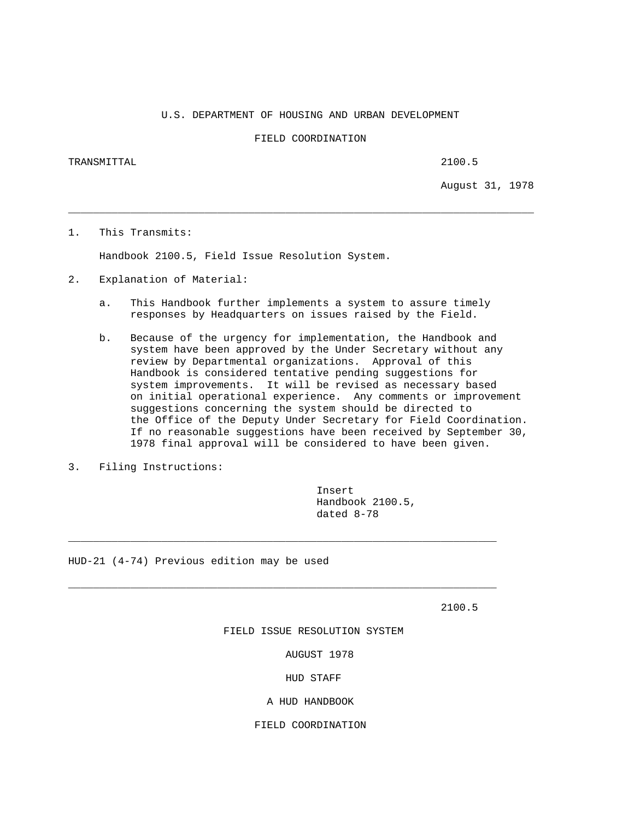U.S. DEPARTMENT OF HOUSING AND URBAN DEVELOPMENT

FIELD COORDINATION

\_\_\_\_\_\_\_\_\_\_\_\_\_\_\_\_\_\_\_\_\_\_\_\_\_\_\_\_\_\_\_\_\_\_\_\_\_\_\_\_\_\_\_\_\_\_\_\_\_\_\_\_\_\_\_\_\_\_\_\_\_\_\_\_\_\_\_\_\_\_\_\_\_\_\_

TRANSMITTAL 2100.5

August 31, 1978

1. This Transmits:

Handbook 2100.5, Field Issue Resolution System.

- 2. Explanation of Material:
	- a. This Handbook further implements a system to assure timely responses by Headquarters on issues raised by the Field.
	- b. Because of the urgency for implementation, the Handbook and system have been approved by the Under Secretary without any review by Departmental organizations. Approval of this Handbook is considered tentative pending suggestions for system improvements. It will be revised as necessary based on initial operational experience. Any comments or improvement suggestions concerning the system should be directed to the Office of the Deputy Under Secretary for Field Coordination. If no reasonable suggestions have been received by September 30, 1978 final approval will be considered to have been given.
- 3. Filing Instructions:

 Insert Handbook 2100.5, dated 8-78

HUD-21 (4-74) Previous edition may be used

2100.5

FIELD ISSUE RESOLUTION SYSTEM

\_\_\_\_\_\_\_\_\_\_\_\_\_\_\_\_\_\_\_\_\_\_\_\_\_\_\_\_\_\_\_\_\_\_\_\_\_\_\_\_\_\_\_\_\_\_\_\_\_\_\_\_\_\_\_\_\_\_\_\_\_\_\_\_\_\_\_\_\_

\_\_\_\_\_\_\_\_\_\_\_\_\_\_\_\_\_\_\_\_\_\_\_\_\_\_\_\_\_\_\_\_\_\_\_\_\_\_\_\_\_\_\_\_\_\_\_\_\_\_\_\_\_\_\_\_\_\_\_\_\_\_\_\_\_\_\_\_\_

AUGUST 1978

HUD STAFF

A HUD HANDBOOK

FIELD COORDINATION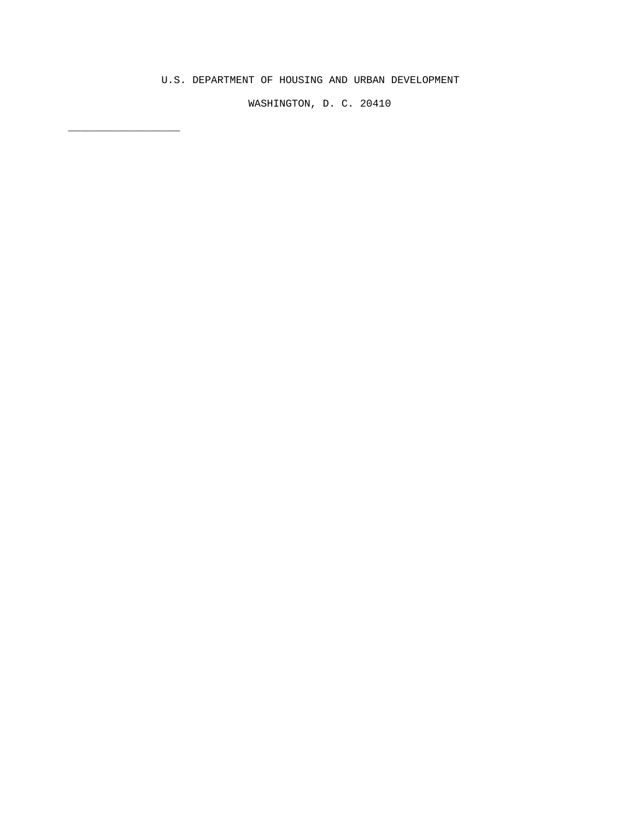## U.S. DEPARTMENT OF HOUSING AND URBAN DEVELOPMENT

\_\_\_\_\_\_\_\_\_\_\_\_\_\_\_\_\_\_

WASHINGTON, D. C. 20410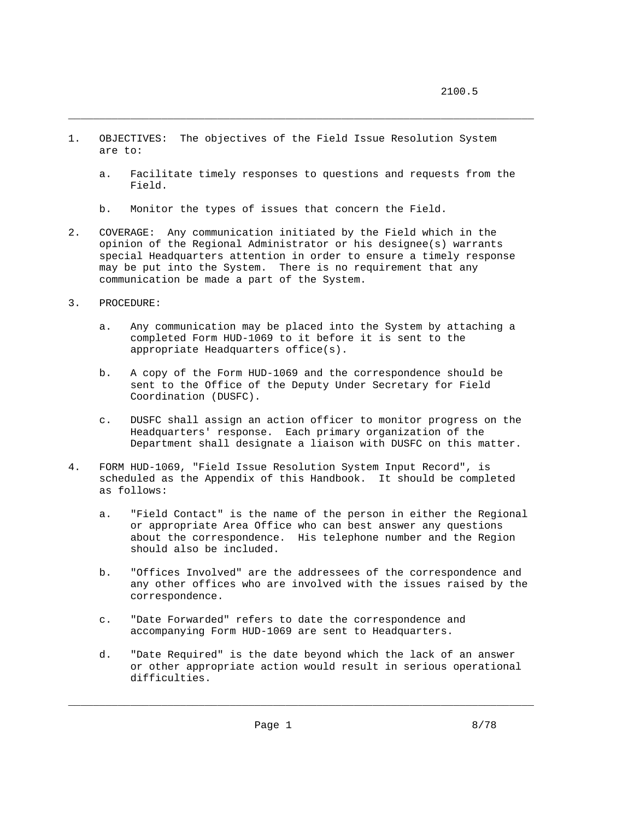- 1. OBJECTIVES: The objectives of the Field Issue Resolution System are to:
	- a. Facilitate timely responses to questions and requests from the Field.

\_\_\_\_\_\_\_\_\_\_\_\_\_\_\_\_\_\_\_\_\_\_\_\_\_\_\_\_\_\_\_\_\_\_\_\_\_\_\_\_\_\_\_\_\_\_\_\_\_\_\_\_\_\_\_\_\_\_\_\_\_\_\_\_\_\_\_\_\_\_\_\_\_\_\_

- b. Monitor the types of issues that concern the Field.
- 2. COVERAGE: Any communication initiated by the Field which in the opinion of the Regional Administrator or his designee(s) warrants special Headquarters attention in order to ensure a timely response may be put into the System. There is no requirement that any communication be made a part of the System.
- 3. PROCEDURE:
	- a. Any communication may be placed into the System by attaching a completed Form HUD-1069 to it before it is sent to the appropriate Headquarters office(s).
	- b. A copy of the Form HUD-1069 and the correspondence should be sent to the Office of the Deputy Under Secretary for Field Coordination (DUSFC).
	- c. DUSFC shall assign an action officer to monitor progress on the Headquarters' response. Each primary organization of the Department shall designate a liaison with DUSFC on this matter.
- 4. FORM HUD-1069, "Field Issue Resolution System Input Record", is scheduled as the Appendix of this Handbook. It should be completed as follows:
	- a. "Field Contact" is the name of the person in either the Regional or appropriate Area Office who can best answer any questions about the correspondence. His telephone number and the Region should also be included.
	- b. "Offices Involved" are the addressees of the correspondence and any other offices who are involved with the issues raised by the correspondence.
	- c. "Date Forwarded" refers to date the correspondence and accompanying Form HUD-1069 are sent to Headquarters.
	- d. "Date Required" is the date beyond which the lack of an answer or other appropriate action would result in serious operational difficulties.

\_\_\_\_\_\_\_\_\_\_\_\_\_\_\_\_\_\_\_\_\_\_\_\_\_\_\_\_\_\_\_\_\_\_\_\_\_\_\_\_\_\_\_\_\_\_\_\_\_\_\_\_\_\_\_\_\_\_\_\_\_\_\_\_\_\_\_\_\_\_\_\_\_\_\_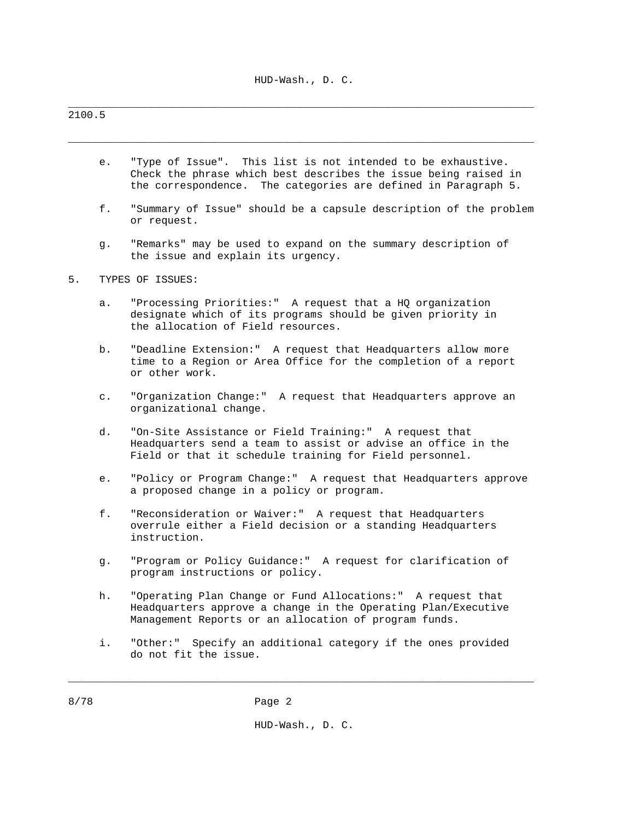\_\_\_\_\_\_\_\_\_\_\_\_\_\_\_\_\_\_\_\_\_\_\_\_\_\_\_\_\_\_\_\_\_\_\_\_\_\_\_\_\_\_\_\_\_\_\_\_\_\_\_\_\_\_\_\_\_\_\_\_\_\_\_\_\_\_\_\_\_\_\_\_\_\_\_

\_\_\_\_\_\_\_\_\_\_\_\_\_\_\_\_\_\_\_\_\_\_\_\_\_\_\_\_\_\_\_\_\_\_\_\_\_\_\_\_\_\_\_\_\_\_\_\_\_\_\_\_\_\_\_\_\_\_\_\_\_\_\_\_\_\_\_\_\_\_\_\_\_\_\_

## 2100.5

- e. "Type of Issue". This list is not intended to be exhaustive. Check the phrase which best describes the issue being raised in the correspondence. The categories are defined in Paragraph 5.
- f. "Summary of Issue" should be a capsule description of the problem or request.
- g. "Remarks" may be used to expand on the summary description of the issue and explain its urgency.

## 5. TYPES OF ISSUES:

- a. "Processing Priorities:" A request that a HQ organization designate which of its programs should be given priority in the allocation of Field resources.
- b. "Deadline Extension:" A request that Headquarters allow more time to a Region or Area Office for the completion of a report or other work.
- c. "Organization Change:" A request that Headquarters approve an organizational change.
- d. "On-Site Assistance or Field Training:" A request that Headquarters send a team to assist or advise an office in the Field or that it schedule training for Field personnel.
- e. "Policy or Program Change:" A request that Headquarters approve a proposed change in a policy or program.
- f. "Reconsideration or Waiver:" A request that Headquarters overrule either a Field decision or a standing Headquarters instruction.
- g. "Program or Policy Guidance:" A request for clarification of program instructions or policy.
- h. "Operating Plan Change or Fund Allocations:" A request that Headquarters approve a change in the Operating Plan/Executive Management Reports or an allocation of program funds.
- i. "Other:" Specify an additional category if the ones provided do not fit the issue.

\_\_\_\_\_\_\_\_\_\_\_\_\_\_\_\_\_\_\_\_\_\_\_\_\_\_\_\_\_\_\_\_\_\_\_\_\_\_\_\_\_\_\_\_\_\_\_\_\_\_\_\_\_\_\_\_\_\_\_\_\_\_\_\_\_\_\_\_\_\_\_\_\_\_\_

HUD-Wash., D. C.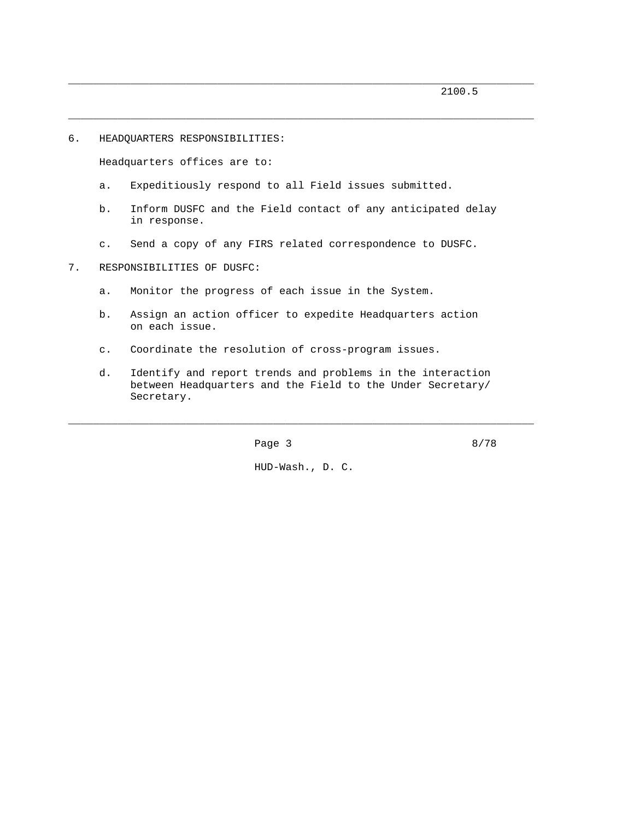```
6. HEADQUARTERS RESPONSIBILITIES:
```
Headquarters offices are to:

- a. Expeditiously respond to all Field issues submitted.
- b. Inform DUSFC and the Field contact of any anticipated delay in response.

\_\_\_\_\_\_\_\_\_\_\_\_\_\_\_\_\_\_\_\_\_\_\_\_\_\_\_\_\_\_\_\_\_\_\_\_\_\_\_\_\_\_\_\_\_\_\_\_\_\_\_\_\_\_\_\_\_\_\_\_\_\_\_\_\_\_\_\_\_\_\_\_\_\_\_

\_\_\_\_\_\_\_\_\_\_\_\_\_\_\_\_\_\_\_\_\_\_\_\_\_\_\_\_\_\_\_\_\_\_\_\_\_\_\_\_\_\_\_\_\_\_\_\_\_\_\_\_\_\_\_\_\_\_\_\_\_\_\_\_\_\_\_\_\_\_\_\_\_\_\_

- c. Send a copy of any FIRS related correspondence to DUSFC.
- 7. RESPONSIBILITIES OF DUSFC:
	- a. Monitor the progress of each issue in the System.
	- b. Assign an action officer to expedite Headquarters action on each issue.
	- c. Coordinate the resolution of cross-program issues.
	- d. Identify and report trends and problems in the interaction between Headquarters and the Field to the Under Secretary/ Secretary.

**Page 3** 8/78

HUD-Wash., D. C.

\_\_\_\_\_\_\_\_\_\_\_\_\_\_\_\_\_\_\_\_\_\_\_\_\_\_\_\_\_\_\_\_\_\_\_\_\_\_\_\_\_\_\_\_\_\_\_\_\_\_\_\_\_\_\_\_\_\_\_\_\_\_\_\_\_\_\_\_\_\_\_\_\_\_\_